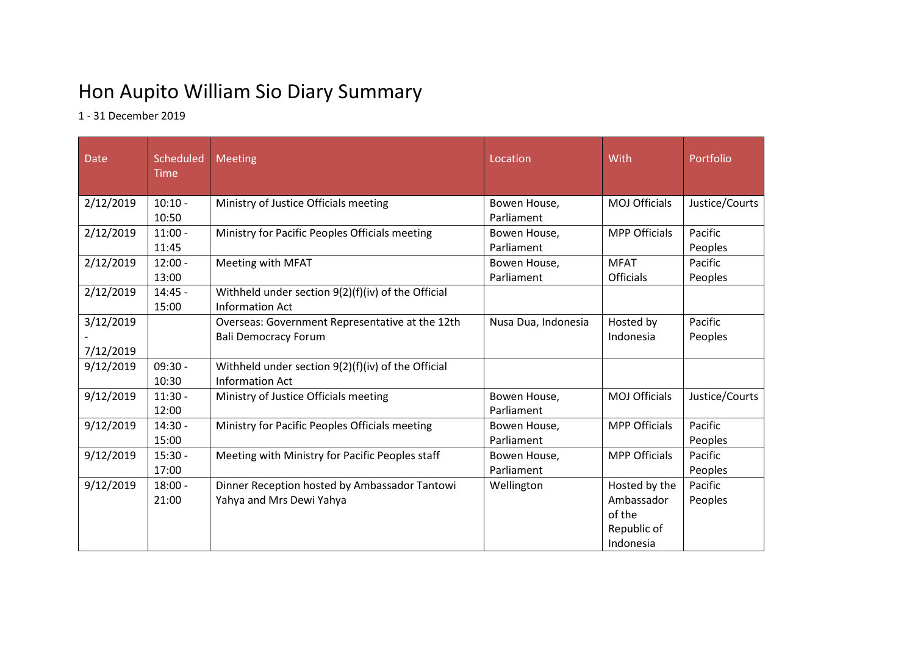## Hon Aupito William Sio Diary Summary

1 - 31 December 2019

| Date                   | Scheduled<br><b>Time</b> | <b>Meeting</b>                                                                 | Location                   | With                                                              | Portfolio          |
|------------------------|--------------------------|--------------------------------------------------------------------------------|----------------------------|-------------------------------------------------------------------|--------------------|
| 2/12/2019              | $10:10 -$<br>10:50       | Ministry of Justice Officials meeting                                          | Bowen House,<br>Parliament | <b>MOJ Officials</b>                                              | Justice/Courts     |
| 2/12/2019              | $11:00 -$<br>11:45       | Ministry for Pacific Peoples Officials meeting                                 | Bowen House,<br>Parliament | <b>MPP Officials</b>                                              | Pacific<br>Peoples |
| 2/12/2019              | $12:00 -$<br>13:00       | Meeting with MFAT                                                              | Bowen House,<br>Parliament | <b>MFAT</b><br><b>Officials</b>                                   | Pacific<br>Peoples |
| 2/12/2019              | $14:45 -$<br>15:00       | Withheld under section $9(2)(f)(iv)$ of the Official<br><b>Information Act</b> |                            |                                                                   |                    |
| 3/12/2019<br>7/12/2019 |                          | Overseas: Government Representative at the 12th<br><b>Bali Democracy Forum</b> | Nusa Dua, Indonesia        | Hosted by<br>Indonesia                                            | Pacific<br>Peoples |
| 9/12/2019              | $09:30 -$<br>10:30       | Withheld under section 9(2)(f)(iv) of the Official<br><b>Information Act</b>   |                            |                                                                   |                    |
| 9/12/2019              | $11:30 -$<br>12:00       | Ministry of Justice Officials meeting                                          | Bowen House,<br>Parliament | <b>MOJ Officials</b>                                              | Justice/Courts     |
| 9/12/2019              | $14:30 -$<br>15:00       | Ministry for Pacific Peoples Officials meeting                                 | Bowen House,<br>Parliament | <b>MPP Officials</b>                                              | Pacific<br>Peoples |
| 9/12/2019              | $15:30 -$<br>17:00       | Meeting with Ministry for Pacific Peoples staff                                | Bowen House,<br>Parliament | <b>MPP Officials</b>                                              | Pacific<br>Peoples |
| 9/12/2019              | $18:00 -$<br>21:00       | Dinner Reception hosted by Ambassador Tantowi<br>Yahya and Mrs Dewi Yahya      | Wellington                 | Hosted by the<br>Ambassador<br>of the<br>Republic of<br>Indonesia | Pacific<br>Peoples |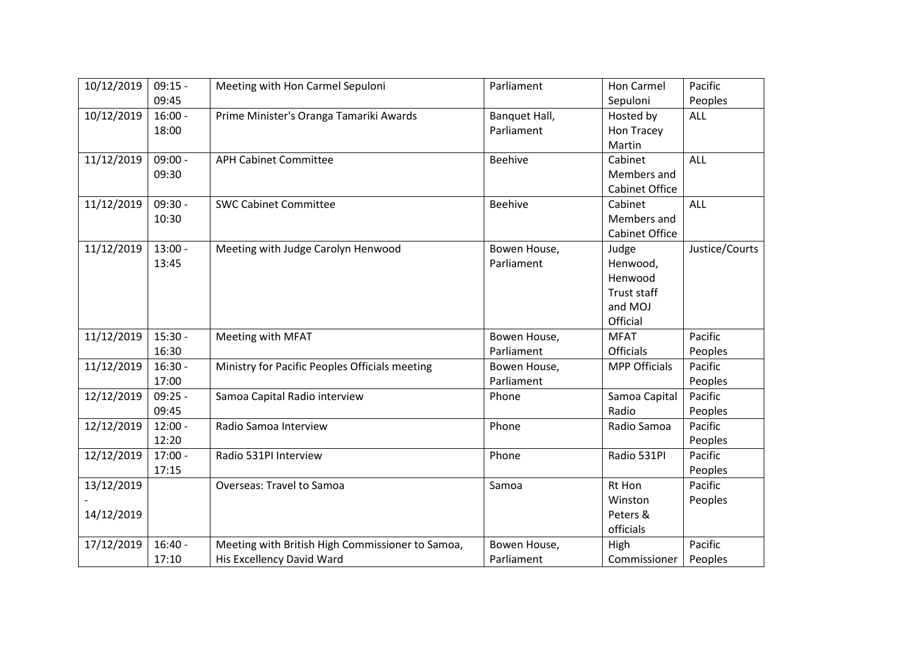| 10/12/2019 | $09:15 -$ | Meeting with Hon Carmel Sepuloni                 | Parliament     | Hon Carmel            | Pacific        |
|------------|-----------|--------------------------------------------------|----------------|-----------------------|----------------|
|            | 09:45     |                                                  |                | Sepuloni              | Peoples        |
| 10/12/2019 | $16:00 -$ | Prime Minister's Oranga Tamariki Awards          | Banquet Hall,  | Hosted by             | ALL            |
|            | 18:00     |                                                  | Parliament     | Hon Tracey            |                |
|            |           |                                                  |                | Martin                |                |
| 11/12/2019 | $09:00 -$ | <b>APH Cabinet Committee</b>                     | <b>Beehive</b> | Cabinet               | <b>ALL</b>     |
|            | 09:30     |                                                  |                | Members and           |                |
|            |           |                                                  |                | Cabinet Office        |                |
| 11/12/2019 | $09:30 -$ | <b>SWC Cabinet Committee</b>                     | <b>Beehive</b> | Cabinet               | ALL            |
|            | 10:30     |                                                  |                | Members and           |                |
|            |           |                                                  |                | <b>Cabinet Office</b> |                |
| 11/12/2019 | $13:00 -$ | Meeting with Judge Carolyn Henwood               | Bowen House,   | Judge                 | Justice/Courts |
|            | 13:45     |                                                  | Parliament     | Henwood,              |                |
|            |           |                                                  |                | Henwood               |                |
|            |           |                                                  |                | <b>Trust staff</b>    |                |
|            |           |                                                  |                | and MOJ               |                |
|            |           |                                                  |                | Official              |                |
| 11/12/2019 | $15:30 -$ | Meeting with MFAT                                | Bowen House,   | <b>MFAT</b>           | Pacific        |
|            | 16:30     |                                                  | Parliament     | Officials             | Peoples        |
| 11/12/2019 | $16:30 -$ | Ministry for Pacific Peoples Officials meeting   | Bowen House,   | <b>MPP Officials</b>  | Pacific        |
|            | 17:00     |                                                  | Parliament     |                       | Peoples        |
| 12/12/2019 | $09:25 -$ | Samoa Capital Radio interview                    | Phone          | Samoa Capital         | Pacific        |
|            | 09:45     |                                                  |                | Radio                 | Peoples        |
| 12/12/2019 | $12:00 -$ | Radio Samoa Interview                            | Phone          | Radio Samoa           | Pacific        |
|            | 12:20     |                                                  |                |                       | Peoples        |
| 12/12/2019 | $17:00 -$ | Radio 531PI Interview                            | Phone          | Radio 531PI           | Pacific        |
|            | 17:15     |                                                  |                |                       | Peoples        |
| 13/12/2019 |           | Overseas: Travel to Samoa                        | Samoa          | Rt Hon                | Pacific        |
|            |           |                                                  |                | Winston               | Peoples        |
| 14/12/2019 |           |                                                  |                | Peters &              |                |
|            |           |                                                  |                | officials             |                |
| 17/12/2019 | $16:40 -$ | Meeting with British High Commissioner to Samoa, | Bowen House,   | High                  | Pacific        |
|            | 17:10     | His Excellency David Ward                        | Parliament     | Commissioner          | Peoples        |